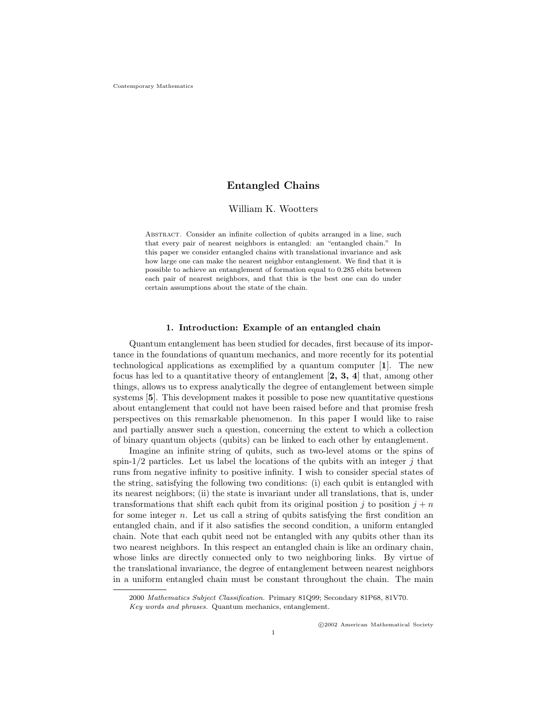# Entangled Chains

## William K. Wootters

ABSTRACT. Consider an infinite collection of qubits arranged in a line, such that every pair of nearest neighbors is entangled: an "entangled chain." In this paper we consider entangled chains with translational invariance and ask how large one can make the nearest neighbor entanglement. We find that it is possible to achieve an entanglement of formation equal to 0.285 ebits between each pair of nearest neighbors, and that this is the best one can do under certain assumptions about the state of the chain.

### 1. Introduction: Example of an entangled chain

Quantum entanglement has been studied for decades, first because of its importance in the foundations of quantum mechanics, and more recently for its potential technological applications as exemplified by a quantum computer [1]. The new focus has led to a quantitative theory of entanglement  $[2, 3, 4]$  that, among other things, allows us to express analytically the degree of entanglement between simple systems [5]. This development makes it possible to pose new quantitative questions about entanglement that could not have been raised before and that promise fresh perspectives on this remarkable phenomenon. In this paper I would like to raise and partially answer such a question, concerning the extent to which a collection of binary quantum objects (qubits) can be linked to each other by entanglement.

Imagine an infinite string of qubits, such as two-level atoms or the spins of spin-1/2 particles. Let us label the locations of the qubits with an integer  $j$  that runs from negative infinity to positive infinity. I wish to consider special states of the string, satisfying the following two conditions: (i) each qubit is entangled with its nearest neighbors; (ii) the state is invariant under all translations, that is, under transformations that shift each qubit from its original position j to position  $j + n$ for some integer  $n$ . Let us call a string of qubits satisfying the first condition an entangled chain, and if it also satisfies the second condition, a uniform entangled chain. Note that each qubit need not be entangled with any qubits other than its two nearest neighbors. In this respect an entangled chain is like an ordinary chain, whose links are directly connected only to two neighboring links. By virtue of the translational invariance, the degree of entanglement between nearest neighbors in a uniform entangled chain must be constant throughout the chain. The main

<sup>2000</sup> Mathematics Subject Classification. Primary 81Q99; Secondary 81P68, 81V70.

Key words and phrases. Quantum mechanics, entanglement.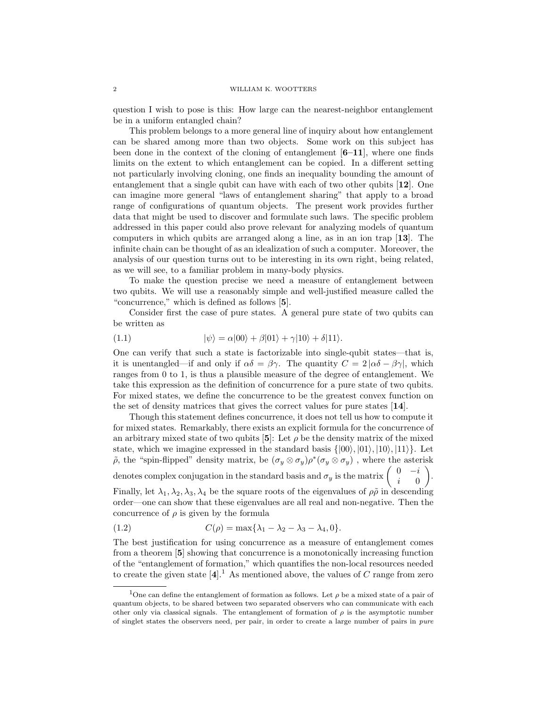question I wish to pose is this: How large can the nearest-neighbor entanglement be in a uniform entangled chain?

This problem belongs to a more general line of inquiry about how entanglement can be shared among more than two objects. Some work on this subject has been done in the context of the cloning of entanglement  $[6-11]$ , where one finds limits on the extent to which entanglement can be copied. In a different setting not particularly involving cloning, one finds an inequality bounding the amount of entanglement that a single qubit can have with each of two other qubits [12]. One can imagine more general "laws of entanglement sharing" that apply to a broad range of configurations of quantum objects. The present work provides further data that might be used to discover and formulate such laws. The specific problem addressed in this paper could also prove relevant for analyzing models of quantum computers in which qubits are arranged along a line, as in an ion trap [13]. The infinite chain can be thought of as an idealization of such a computer. Moreover, the analysis of our question turns out to be interesting in its own right, being related, as we will see, to a familiar problem in many-body physics.

To make the question precise we need a measure of entanglement between two qubits. We will use a reasonably simple and well-justified measure called the "concurrence," which is defined as follows [5].

Consider first the case of pure states. A general pure state of two qubits can be written as

(1.1) 
$$
|\psi\rangle = \alpha|00\rangle + \beta|01\rangle + \gamma|10\rangle + \delta|11\rangle.
$$

One can verify that such a state is factorizable into single-qubit states—that is, it is unentangled—if and only if  $\alpha\delta = \beta\gamma$ . The quantity  $C = 2 |\alpha\delta - \beta\gamma|$ , which ranges from 0 to 1, is thus a plausible measure of the degree of entanglement. We take this expression as the definition of concurrence for a pure state of two qubits. For mixed states, we define the concurrence to be the greatest convex function on the set of density matrices that gives the correct values for pure states [14].

Though this statement defines concurrence, it does not tell us how to compute it for mixed states. Remarkably, there exists an explicit formula for the concurrence of an arbitrary mixed state of two qubits  $[5]$ : Let  $\rho$  be the density matrix of the mixed state, which we imagine expressed in the standard basis  $\{|00\rangle, |01\rangle, |10\rangle, |11\rangle\}$ . Let  $\tilde{\rho}$ , the "spin-flipped" density matrix, be  $(\sigma_y \otimes \sigma_y) \rho^*(\sigma_y \otimes \sigma_y)$ , where the asterisk denotes complex conjugation in the standard basis and  $\sigma_y$  is the matrix  $\begin{pmatrix} 0 & -i \\ i & 0 \end{pmatrix}$ .

i 0

Finally, let  $\lambda_1, \lambda_2, \lambda_3, \lambda_4$  be the square roots of the eigenvalues of  $\rho\tilde{\rho}$  in descending order—one can show that these eigenvalues are all real and non-negative. Then the concurrence of  $\rho$  is given by the formula

(1.2) 
$$
C(\rho) = \max\{\lambda_1 - \lambda_2 - \lambda_3 - \lambda_4, 0\}.
$$

The best justification for using concurrence as a measure of entanglement comes from a theorem [5] showing that concurrence is a monotonically increasing function of the "entanglement of formation," which quantifies the non-local resources needed to create the given state  $[4]$ <sup>1</sup>. As mentioned above, the values of C range from zero

<sup>&</sup>lt;sup>1</sup>One can define the entanglement of formation as follows. Let  $\rho$  be a mixed state of a pair of quantum objects, to be shared between two separated observers who can communicate with each other only via classical signals. The entanglement of formation of  $\rho$  is the asymptotic number of singlet states the observers need, per pair, in order to create a large number of pairs in pure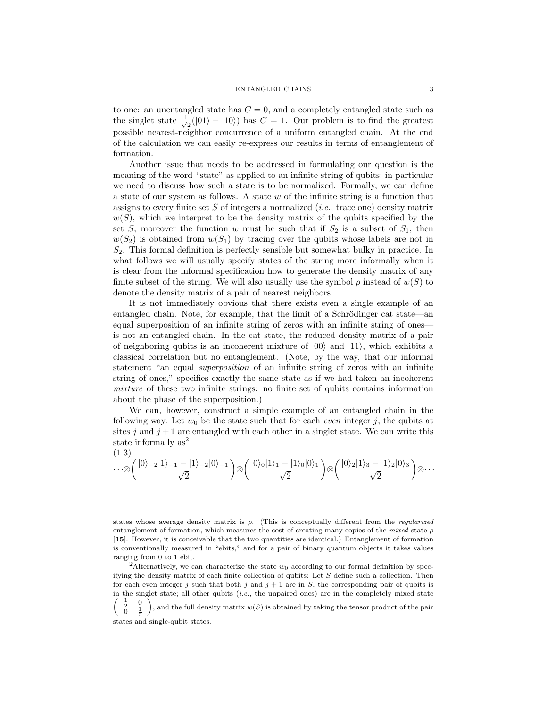to one: an unentangled state has  $C = 0$ , and a completely entangled state such as the singlet state  $\frac{1}{4}$  $\frac{1}{2}(|01\rangle - |10\rangle)$  has  $C = 1$ . Our problem is to find the greatest possible nearest-neighbor concurrence of a uniform entangled chain. At the end of the calculation we can easily re-express our results in terms of entanglement of formation.

Another issue that needs to be addressed in formulating our question is the meaning of the word "state" as applied to an infinite string of qubits; in particular we need to discuss how such a state is to be normalized. Formally, we can define a state of our system as follows. A state  $w$  of the infinite string is a function that assigns to every finite set  $S$  of integers a normalized (*i.e.*, trace one) density matrix  $w(S)$ , which we interpret to be the density matrix of the qubits specified by the set S; moreover the function w must be such that if  $S_2$  is a subset of  $S_1$ , then  $w(S_2)$  is obtained from  $w(S_1)$  by tracing over the qubits whose labels are not in  $S_2$ . This formal definition is perfectly sensible but somewhat bulky in practice. In what follows we will usually specify states of the string more informally when it is clear from the informal specification how to generate the density matrix of any finite subset of the string. We will also usually use the symbol  $\rho$  instead of  $w(S)$  to denote the density matrix of a pair of nearest neighbors.

It is not immediately obvious that there exists even a single example of an entangled chain. Note, for example, that the limit of a Schrödinger cat state—an equal superposition of an infinite string of zeros with an infinite string of ones is not an entangled chain. In the cat state, the reduced density matrix of a pair of neighboring qubits is an incoherent mixture of  $|00\rangle$  and  $|11\rangle$ , which exhibits a classical correlation but no entanglement. (Note, by the way, that our informal statement "an equal superposition of an infinite string of zeros with an infinite string of ones," specifies exactly the same state as if we had taken an incoherent mixture of these two infinite strings: no finite set of qubits contains information about the phase of the superposition.)

We can, however, construct a simple example of an entangled chain in the following way. Let  $w_0$  be the state such that for each *even* integer j, the qubits at sites j and  $j+1$  are entangled with each other in a singlet state. We can write this state informally  $as^2$ 

$$
\cdots \otimes \left(\frac{|0\rangle_{-2}|1\rangle_{-1}-|1\rangle_{-2}|0\rangle_{-1}}{\sqrt{2}}\right) \otimes \left(\frac{|0\rangle_{0}|1\rangle_{1}-|1\rangle_{0}|0\rangle_{1}}{\sqrt{2}}\right) \otimes \left(\frac{|0\rangle_{2}|1\rangle_{3}-|1\rangle_{2}|0\rangle_{3}}{\sqrt{2}}\right) \otimes \cdots
$$

states whose average density matrix is  $\rho$ . (This is conceptually different from the *regularized* entanglement of formation, which measures the cost of creating many copies of the mixed state  $\rho$ [15]. However, it is conceivable that the two quantities are identical.) Entanglement of formation is conventionally measured in "ebits," and for a pair of binary quantum objects it takes values ranging from 0 to 1 ebit.

<sup>&</sup>lt;sup>2</sup>Alternatively, we can characterize the state  $w_0$  according to our formal definition by specifying the density matrix of each finite collection of qubits: Let S define such a collection. Then for each even integer j such that both j and  $j + 1$  are in S, the corresponding pair of qubits is in the singlet state; all other qubits  $(i.e.,$  the unpaired ones) are in the completely mixed state  $\frac{1}{2}$ 2  $\frac{1}{2}$ 0 ), and the full density matrix  $w(S)$  is obtained by taking the tensor product of the pair

states and single-qubit states.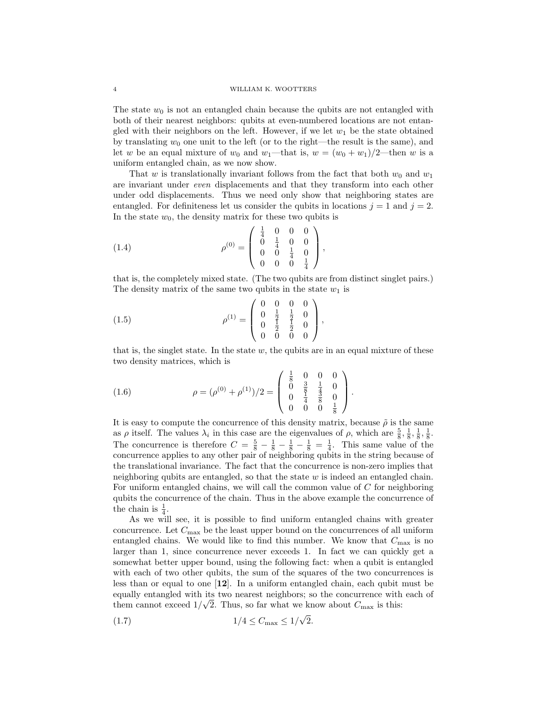The state  $w_0$  is not an entangled chain because the qubits are not entangled with both of their nearest neighbors: qubits at even-numbered locations are not entangled with their neighbors on the left. However, if we let  $w_1$  be the state obtained by translating  $w_0$  one unit to the left (or to the right—the result is the same), and let w be an equal mixture of  $w_0$  and  $w_1$ —that is,  $w = (w_0 + w_1)/2$ —then w is a uniform entangled chain, as we now show.

That w is translationally invariant follows from the fact that both  $w_0$  and  $w_1$ are invariant under even displacements and that they transform into each other under odd displacements. Thus we need only show that neighboring states are entangled. For definiteness let us consider the qubits in locations  $j = 1$  and  $j = 2$ . In the state  $w_0$ , the density matrix for these two qubits is

(1.4) 
$$
\rho^{(0)} = \begin{pmatrix} \frac{1}{4} & 0 & 0 & 0 \\ 0 & \frac{1}{4} & 0 & 0 \\ 0 & 0 & \frac{1}{4} & 0 \\ 0 & 0 & 0 & \frac{1}{4} \end{pmatrix},
$$

that is, the completely mixed state. (The two qubits are from distinct singlet pairs.) The density matrix of the same two qubits in the state  $w_1$  is

(1.5) 
$$
\rho^{(1)} = \begin{pmatrix} 0 & 0 & 0 & 0 \\ 0 & \frac{1}{2} & \frac{1}{2} & 0 \\ 0 & \frac{1}{2} & \frac{1}{2} & 0 \\ 0 & 0 & 0 & 0 \end{pmatrix},
$$

that is, the singlet state. In the state  $w$ , the qubits are in an equal mixture of these two density matrices, which is

(1.6) 
$$
\rho = (\rho^{(0)} + \rho^{(1)})/2 = \begin{pmatrix} \frac{1}{8} & 0 & 0 & 0 \\ 0 & \frac{3}{8} & \frac{1}{4} & 0 \\ 0 & \frac{1}{4} & \frac{3}{8} & 0 \\ 0 & 0 & 0 & \frac{1}{8} \end{pmatrix}.
$$

It is easy to compute the concurrence of this density matrix, because  $\tilde{\rho}$  is the same as  $\rho$  itself. The values  $\lambda_i$  in this case are the eigenvalues of  $\rho$ , which are  $\frac{5}{8}, \frac{1}{8}, \frac{1}{8}, \frac{1}{8}$ . The concurrence is therefore  $C = \frac{5}{8} - \frac{1}{8} - \frac{1}{8} - \frac{1}{8} = \frac{1}{4}$ . This same value of the concurrence applies to any other pair of neighboring qubits in the string because of the translational invariance. The fact that the concurrence is non-zero implies that neighboring qubits are entangled, so that the state  $w$  is indeed an entangled chain. For uniform entangled chains, we will call the common value of  $C$  for neighboring qubits the concurrence of the chain. Thus in the above example the concurrence of the chain is  $\frac{1}{4}$ .

As we will see, it is possible to find uniform entangled chains with greater concurrence. Let  $C_{\text{max}}$  be the least upper bound on the concurrences of all uniform entangled chains. We would like to find this number. We know that  $C_{\text{max}}$  is no larger than 1, since concurrence never exceeds 1. In fact we can quickly get a somewhat better upper bound, using the following fact: when a qubit is entangled with each of two other qubits, the sum of the squares of the two concurrences is less than or equal to one [12]. In a uniform entangled chain, each qubit must be equally entangled with its two nearest neighbors; so the concurrence with each of them cannot exceed  $1/\sqrt{2}$ . Thus, so far what we know about  $C_{\text{max}}$  is this:

(1.7) 
$$
1/4 \le C_{\text{max}} \le 1/\sqrt{2}
$$
.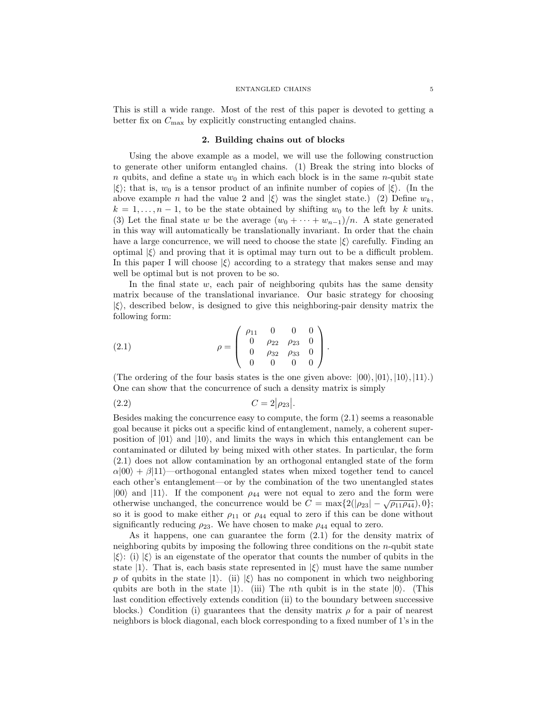#### ENTANGLED CHAINS 5

This is still a wide range. Most of the rest of this paper is devoted to getting a better fix on  $C_{\text{max}}$  by explicitly constructing entangled chains.

## 2. Building chains out of blocks

Using the above example as a model, we will use the following construction to generate other uniform entangled chains. (1) Break the string into blocks of n qubits, and define a state  $w_0$  in which each block is in the same n-qubit state  $|\xi\rangle$ ; that is,  $w_0$  is a tensor product of an infinite number of copies of  $|\xi\rangle$ . (In the above example *n* had the value 2 and  $|\xi\rangle$  was the singlet state.) (2) Define  $w_k$ ,  $k = 1, \ldots, n - 1$ , to be the state obtained by shifting  $w_0$  to the left by k units. (3) Let the final state w be the average  $(w_0 + \cdots + w_{n-1})/n$ . A state generated in this way will automatically be translationally invariant. In order that the chain have a large concurrence, we will need to choose the state  $|\xi\rangle$  carefully. Finding an optimal  $|\xi\rangle$  and proving that it is optimal may turn out to be a difficult problem. In this paper I will choose  $|\xi\rangle$  according to a strategy that makes sense and may well be optimal but is not proven to be so.

In the final state  $w$ , each pair of neighboring qubits has the same density matrix because of the translational invariance. Our basic strategy for choosing  $|\xi\rangle$ , described below, is designed to give this neighboring-pair density matrix the following form:

(2.1) 
$$
\rho = \begin{pmatrix} \rho_{11} & 0 & 0 & 0 \\ 0 & \rho_{22} & \rho_{23} & 0 \\ 0 & \rho_{32} & \rho_{33} & 0 \\ 0 & 0 & 0 & 0 \end{pmatrix}.
$$

(The ordering of the four basis states is the one given above:  $|00\rangle, |01\rangle, |10\rangle, |11\rangle, |10\rangle$ One can show that the concurrence of such a density matrix is simply

.

$$
(2.2)\qquad \qquad C=2|\rho_{23}|
$$

Besides making the concurrence easy to compute, the form (2.1) seems a reasonable goal because it picks out a specific kind of entanglement, namely, a coherent superposition of  $|01\rangle$  and  $|10\rangle$ , and limits the ways in which this entanglement can be contaminated or diluted by being mixed with other states. In particular, the form (2.1) does not allow contamination by an orthogonal entangled state of the form  $\alpha|00\rangle + \beta|11\rangle$ —orthogonal entangled states when mixed together tend to cancel each other's entanglement—or by the combination of the two unentangled states  $|00\rangle$  and  $|11\rangle$ . If the component  $\rho_{44}$  were not equal to zero and the form were otherwise unchanged, the concurrence would be  $C = \max\{2(|\rho_{23}| - \sqrt{\rho_{11}\rho_{44}}), 0\};$ so it is good to make either  $\rho_{11}$  or  $\rho_{44}$  equal to zero if this can be done without significantly reducing  $\rho_{23}$ . We have chosen to make  $\rho_{44}$  equal to zero.

As it happens, one can guarantee the form (2.1) for the density matrix of neighboring qubits by imposing the following three conditions on the  $n$ -qubit state  $|\xi\rangle$ : (i)  $|\xi\rangle$  is an eigenstate of the operator that counts the number of qubits in the state  $|1\rangle$ . That is, each basis state represented in  $|\xi\rangle$  must have the same number p of qubits in the state  $|1\rangle$ . (ii)  $|\xi\rangle$  has no component in which two neighboring qubits are both in the state  $|1\rangle$ . (iii) The *n*th qubit is in the state  $|0\rangle$ . (This last condition effectively extends condition (ii) to the boundary between successive blocks.) Condition (i) guarantees that the density matrix  $\rho$  for a pair of nearest neighbors is block diagonal, each block corresponding to a fixed number of 1's in the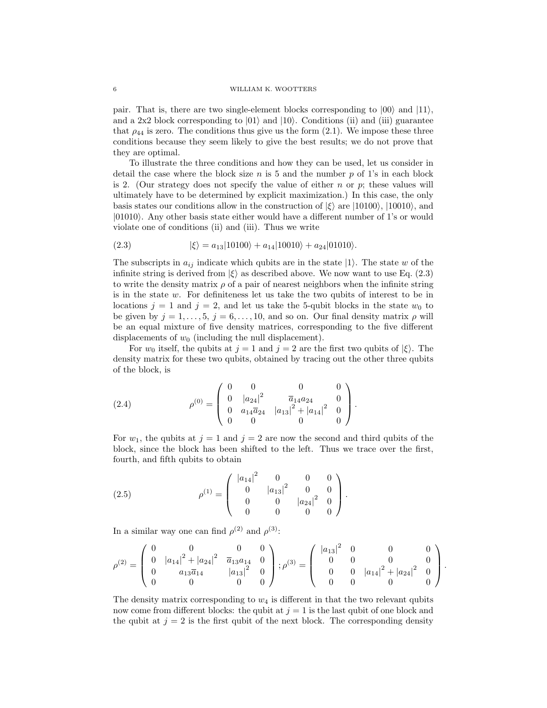pair. That is, there are two single-element blocks corresponding to  $|00\rangle$  and  $|11\rangle$ , and a 2x2 block corresponding to  $|01\rangle$  and  $|10\rangle$ . Conditions (ii) and (iii) guarantee that  $\rho_{44}$  is zero. The conditions thus give us the form (2.1). We impose these three conditions because they seem likely to give the best results; we do not prove that they are optimal.

To illustrate the three conditions and how they can be used, let us consider in detail the case where the block size n is 5 and the number p of 1's in each block is 2. (Our strategy does not specify the value of either  $n$  or  $p$ ; these values will ultimately have to be determined by explicit maximization.) In this case, the only basis states our conditions allow in the construction of  $|\xi\rangle$  are  $|10100\rangle$ ,  $|10010\rangle$ , and  $|01010\rangle$ . Any other basis state either would have a different number of 1's or would violate one of conditions (ii) and (iii). Thus we write

(2.3) 
$$
|\xi\rangle = a_{13}|10100\rangle + a_{14}|10010\rangle + a_{24}|01010\rangle.
$$

The subscripts in  $a_{ij}$  indicate which qubits are in the state  $|1\rangle$ . The state w of the infinite string is derived from  $|\xi\rangle$  as described above. We now want to use Eq. (2.3) to write the density matrix  $\rho$  of a pair of nearest neighbors when the infinite string is in the state w. For definiteness let us take the two qubits of interest to be in locations  $j = 1$  and  $j = 2$ , and let us take the 5-qubit blocks in the state  $w_0$  to be given by  $j = 1, \ldots, 5, j = 6, \ldots, 10$ , and so on. Our final density matrix  $\rho$  will be an equal mixture of five density matrices, corresponding to the five different displacements of  $w_0$  (including the null displacement).

For  $w_0$  itself, the qubits at  $j = 1$  and  $j = 2$  are the first two qubits of  $|\xi\rangle$ . The density matrix for these two qubits, obtained by tracing out the other three qubits of the block, is

(2.4) 
$$
\rho^{(0)} = \begin{pmatrix} 0 & 0 & 0 & 0 \\ 0 & |a_{24}|^2 & \overline{a}_{14}a_{24} & 0 \\ 0 & a_{14}\overline{a}_{24} & |a_{13}|^2 + |a_{14}|^2 & 0 \\ 0 & 0 & 0 & 0 \end{pmatrix}.
$$

For  $w_1$ , the qubits at  $j = 1$  and  $j = 2$  are now the second and third qubits of the block, since the block has been shifted to the left. Thus we trace over the first, fourth, and fifth qubits to obtain

(2.5) 
$$
\rho^{(1)} = \begin{pmatrix} |a_{14}|^2 & 0 & 0 & 0 \\ 0 & |a_{13}|^2 & 0 & 0 \\ 0 & 0 & |a_{24}|^2 & 0 \\ 0 & 0 & 0 & 0 \end{pmatrix}.
$$

In a similar way one can find  $\rho^{(2)}$  and  $\rho^{(3)}$ :

$$
\rho^{(2)} = \begin{pmatrix} 0 & 0 & 0 & 0 \\ 0 & |a_{14}|^2 + |a_{24}|^2 & \overline{a}_{13}a_{14} & 0 \\ 0 & a_{13}\overline{a}_{14} & |a_{13}|^2 & 0 \\ 0 & 0 & 0 & 0 \end{pmatrix}; \rho^{(3)} = \begin{pmatrix} |a_{13}|^2 & 0 & 0 & 0 \\ 0 & 0 & 0 & 0 \\ 0 & 0 & |a_{14}|^2 + |a_{24}|^2 & 0 \\ 0 & 0 & 0 & 0 \end{pmatrix}.
$$

The density matrix corresponding to  $w_4$  is different in that the two relevant qubits now come from different blocks: the qubit at  $j = 1$  is the last qubit of one block and the qubit at  $j = 2$  is the first qubit of the next block. The corresponding density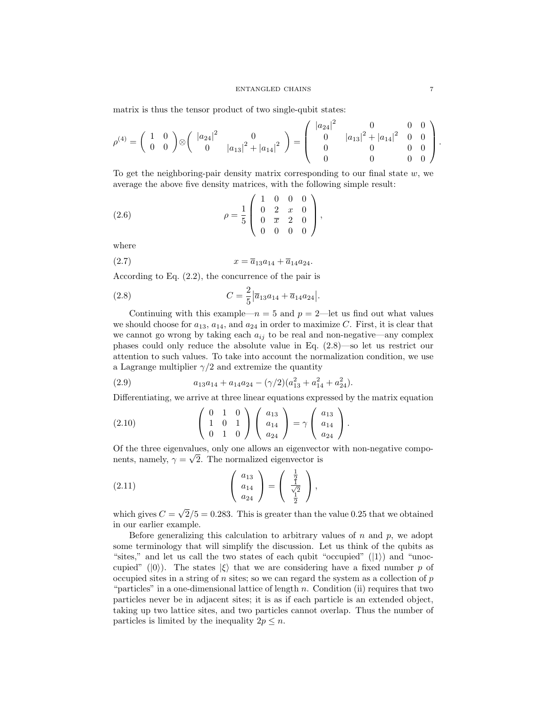matrix is thus the tensor product of two single-qubit states:

$$
\rho^{(4)} = \begin{pmatrix} 1 & 0 \\ 0 & 0 \end{pmatrix} \otimes \begin{pmatrix} |a_{24}|^2 & 0 \\ 0 & |a_{13}|^2 + |a_{14}|^2 \end{pmatrix} = \begin{pmatrix} |a_{24}|^2 & 0 & 0 & 0 \\ 0 & |a_{13}|^2 + |a_{14}|^2 & 0 & 0 \\ 0 & 0 & 0 & 0 \\ 0 & 0 & 0 & 0 \end{pmatrix}.
$$

To get the neighboring-pair density matrix corresponding to our final state  $w$ , we average the above five density matrices, with the following simple result:

(2.6) 
$$
\rho = \frac{1}{5} \begin{pmatrix} 1 & 0 & 0 & 0 \\ 0 & 2 & x & 0 \\ 0 & \overline{x} & 2 & 0 \\ 0 & 0 & 0 & 0 \end{pmatrix},
$$

where

$$
(2.7) \t\t x = \overline{a}_{13}a_{14} + \overline{a}_{14}a_{24}.
$$

According to Eq. (2.2), the concurrence of the pair is

(2.8) 
$$
C = \frac{2}{5} |\overline{a}_{13} a_{14} + \overline{a}_{14} a_{24}|.
$$

Continuing with this example— $n = 5$  and  $p = 2$ —let us find out what values we should choose for  $a_{13}$ ,  $a_{14}$ , and  $a_{24}$  in order to maximize C. First, it is clear that we cannot go wrong by taking each  $a_{ij}$  to be real and non-negative—any complex phases could only reduce the absolute value in Eq. (2.8)—so let us restrict our attention to such values. To take into account the normalization condition, we use a Lagrange multiplier  $\gamma/2$  and extremize the quantity

(2.9) 
$$
a_{13}a_{14} + a_{14}a_{24} - (\gamma/2)(a_{13}^2 + a_{14}^2 + a_{24}^2).
$$

Differentiating, we arrive at three linear equations expressed by the matrix equation

(2.10) 
$$
\begin{pmatrix} 0 & 1 & 0 \ 1 & 0 & 1 \ 0 & 1 & 0 \end{pmatrix} \begin{pmatrix} a_{13} \ a_{14} \ a_{24} \end{pmatrix} = \gamma \begin{pmatrix} a_{13} \ a_{14} \ a_{24} \end{pmatrix}.
$$

Of the three eigenvalues, only one allows an eigenvector with non-negative components, namely,  $\gamma = \sqrt{2}$ . The normalized eigenvector is

(2.11) 
$$
\begin{pmatrix} a_{13} \\ a_{14} \\ a_{24} \end{pmatrix} = \begin{pmatrix} \frac{1}{2} \\ \frac{1}{\sqrt{2}} \\ \frac{1}{2} \end{pmatrix},
$$

which gives  $C =$  $2/5 = 0.283$ . This is greater than the value 0.25 that we obtained in our earlier example.

Before generalizing this calculation to arbitrary values of  $n$  and  $p$ , we adopt some terminology that will simplify the discussion. Let us think of the qubits as "sites," and let us call the two states of each qubit "occupied"  $(|1\rangle)$  and "unoccupied" ( $|0\rangle$ ). The states  $|\xi\rangle$  that we are considering have a fixed number p of occupied sites in a string of  $n$  sites; so we can regard the system as a collection of  $p$ "particles" in a one-dimensional lattice of length n. Condition (ii) requires that two particles never be in adjacent sites; it is as if each particle is an extended object, taking up two lattice sites, and two particles cannot overlap. Thus the number of particles is limited by the inequality  $2p \leq n$ .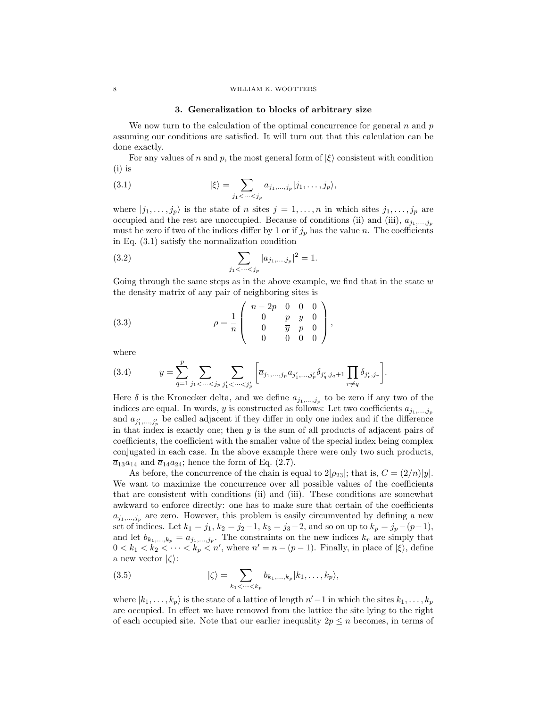#### 8 WILLIAM K. WOOTTERS

### 3. Generalization to blocks of arbitrary size

We now turn to the calculation of the optimal concurrence for general  $n$  and  $p$ assuming our conditions are satisfied. It will turn out that this calculation can be done exactly.

For any values of n and p, the most general form of  $|\xi\rangle$  consistent with condition (i) is

(3.1) 
$$
|\xi\rangle = \sum_{j_1 < \cdots < j_p} a_{j_1, \ldots, j_p} |j_1, \ldots, j_p\rangle,
$$

where  $|j_1,\ldots,j_p\rangle$  is the state of n sites  $j=1,\ldots,n$  in which sites  $j_1,\ldots,j_p$  are occupied and the rest are unoccupied. Because of conditions (ii) and (iii),  $a_{j_1,...,j_p}$ must be zero if two of the indices differ by 1 or if  $j_p$  has the value n. The coefficients in Eq. (3.1) satisfy the normalization condition

(3.2) 
$$
\sum_{j_1 < \dots < j_p} |a_{j_1, \dots, j_p}|^2 = 1.
$$

Going through the same steps as in the above example, we find that in the state  $w$ the density matrix of any pair of neighboring sites is

(3.3) 
$$
\rho = \frac{1}{n} \begin{pmatrix} n - 2p & 0 & 0 & 0 \\ 0 & p & y & 0 \\ 0 & \overline{y} & p & 0 \\ 0 & 0 & 0 & 0 \end{pmatrix},
$$

where

(3.4) 
$$
y = \sum_{q=1}^p \sum_{j_1 < \cdots < j_p} \sum_{j'_1 < \cdots < j'_p} \left[ \overline{a}_{j_1, \ldots, j_p} a_{j'_1, \ldots, j'_p} \delta_{j'_q, j_q + 1} \prod_{r \neq q} \delta_{j'_r, j_r} \right].
$$

Here  $\delta$  is the Kronecker delta, and we define  $a_{j_1,...,j_p}$  to be zero if any two of the indices are equal. In words, y is constructed as follows: Let two coefficients  $a_{j_1,...,j_p}$ and  $a_{j'_1,...,j'_p}$  be called adjacent if they differ in only one index and if the difference in that index is exactly one; then y is the sum of all products of adjacent pairs of coefficients, the coefficient with the smaller value of the special index being complex conjugated in each case. In the above example there were only two such products,  $\overline{a}_{13}a_{14}$  and  $\overline{a}_{14}a_{24}$ ; hence the form of Eq. (2.7).

As before, the concurrence of the chain is equal to  $2|\rho_{23}|$ ; that is,  $C = (2/n)|y|$ . We want to maximize the concurrence over all possible values of the coefficients that are consistent with conditions (ii) and (iii). These conditions are somewhat awkward to enforce directly: one has to make sure that certain of the coefficients  $a_{j_1,...,j_p}$  are zero. However, this problem is easily circumvented by defining a new set of indices. Let  $k_1 = j_1$ ,  $k_2 = j_2-1$ ,  $k_3 = j_3-2$ , and so on up to  $k_p = j_p-(p-1)$ , and let  $b_{k_1,\dots,k_p} = a_{j_1,\dots,j_p}$ . The constraints on the new indices  $k_r$  are simply that  $0 < k_1 < k_2 < \cdots < k_p < n'$ , where  $n' = n - (p - 1)$ . Finally, in place of  $|\xi\rangle$ , define a new vector  $|\zeta\rangle$ :

(3.5) 
$$
|\zeta\rangle = \sum_{k_1 < \cdots < k_p} b_{k_1,\ldots,k_p} |k_1,\ldots,k_p\rangle,
$$

where  $|k_1, \ldots, k_p\rangle$  is the state of a lattice of length  $n'-1$  in which the sites  $k_1, \ldots, k_p$ are occupied. In effect we have removed from the lattice the site lying to the right of each occupied site. Note that our earlier inequality  $2p \leq n$  becomes, in terms of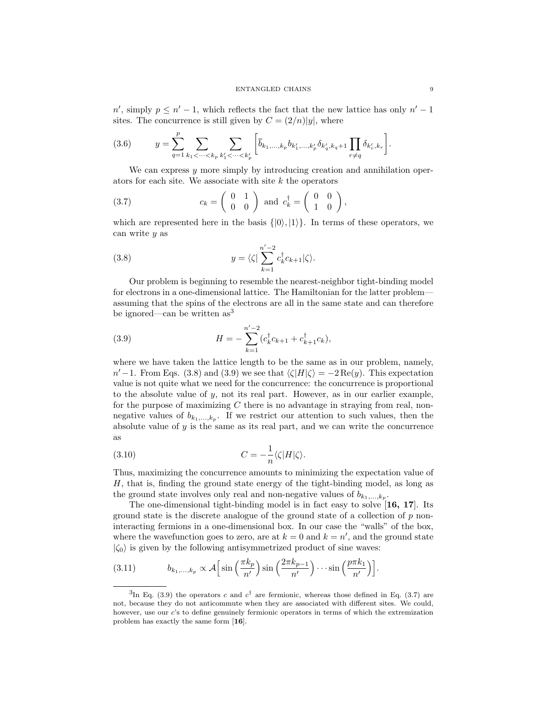$n'$ , simply  $p \leq n' - 1$ , which reflects the fact that the new lattice has only  $n' - 1$ sites. The concurrence is still given by  $C = \frac{2}{n}|y|$ , where

$$
(3.6) \t y = \sum_{q=1}^{p} \sum_{k_1 < \dots < k_p} \sum_{k'_1 < \dots < k'_p} \left[ \overline{b}_{k_1, \dots, k_p} b_{k'_1, \dots, k'_p} \delta_{k'_q, k_q + 1} \prod_{r \neq q} \delta_{k'_r, k_r} \right].
$$

We can express  $y$  more simply by introducing creation and annihilation operators for each site. We associate with site  $k$  the operators

(3.7) 
$$
c_k = \begin{pmatrix} 0 & 1 \\ 0 & 0 \end{pmatrix} \text{ and } c_k^{\dagger} = \begin{pmatrix} 0 & 0 \\ 1 & 0 \end{pmatrix},
$$

which are represented here in the basis  $\{|0\rangle, |1\rangle\}$ . In terms of these operators, we can write y as

(3.8) 
$$
y = \langle \zeta | \sum_{k=1}^{n'-2} c_k^{\dagger} c_{k+1} | \zeta \rangle.
$$

Our problem is beginning to resemble the nearest-neighbor tight-binding model for electrons in a one-dimensional lattice. The Hamiltonian for the latter problem assuming that the spins of the electrons are all in the same state and can therefore be ignored—can be written  $as<sup>3</sup>$ 

(3.9) 
$$
H = -\sum_{k=1}^{n'-2} (c_k^{\dagger} c_{k+1} + c_{k+1}^{\dagger} c_k),
$$

where we have taken the lattice length to be the same as in our problem, namely,  $n' - 1$ . From Eqs. (3.8) and (3.9) we see that  $\langle \zeta | H | \zeta \rangle = -2 \text{Re}(y)$ . This expectation value is not quite what we need for the concurrence: the concurrence is proportional to the absolute value of  $y$ , not its real part. However, as in our earlier example, for the purpose of maximizing  $C$  there is no advantage in straying from real, nonnegative values of  $b_{k_1,\dots,k_p}$ . If we restrict our attention to such values, then the absolute value of  $y$  is the same as its real part, and we can write the concurrence as

(3.10) 
$$
C = -\frac{1}{n} \langle \zeta | H | \zeta \rangle.
$$

Thus, maximizing the concurrence amounts to minimizing the expectation value of H, that is, finding the ground state energy of the tight-binding model, as long as the ground state involves only real and non-negative values of  $b_{k_1,\ldots,k_p}$ .

The one-dimensional tight-binding model is in fact easy to solve [16, 17]. Its ground state is the discrete analogue of the ground state of a collection of  $p$  noninteracting fermions in a one-dimensional box. In our case the "walls" of the box, where the wavefunction goes to zero, are at  $k = 0$  and  $k = n'$ , and the ground state  $|\zeta_0\rangle$  is given by the following antisymmetrized product of sine waves:

(3.11) 
$$
b_{k_1,\ldots,k_p} \propto \mathcal{A}\Big[\sin\Big(\frac{\pi k_p}{n'}\Big)\sin\Big(\frac{2\pi k_{p-1}}{n'}\Big)\cdots\sin\Big(\frac{p\pi k_1}{n'}\Big)\Big].
$$

<sup>&</sup>lt;sup>3</sup>In Eq. (3.9) the operators c and  $c^{\dagger}$  are fermionic, whereas those defined in Eq. (3.7) are not, because they do not anticommute when they are associated with different sites. We could, however, use our c's to define genuinely fermionic operators in terms of which the extremization problem has exactly the same form [16].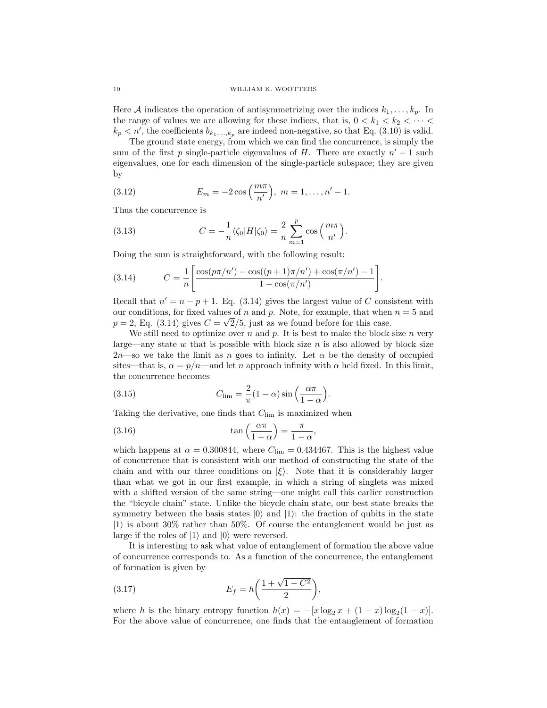Here A indicates the operation of antisymmetrizing over the indices  $k_1, \ldots, k_p$ . In the range of values we are allowing for these indices, that is,  $0 < k_1 < k_2 < \cdots <$  $k_p < n'$ , the coefficients  $b_{k_1,\dots,k_p}$  are indeed non-negative, so that Eq. (3.10) is valid.

The ground state energy, from which we can find the concurrence, is simply the sum of the first p single-particle eigenvalues of H. There are exactly  $n' - 1$  such eigenvalues, one for each dimension of the single-particle subspace; they are given by

(3.12) 
$$
E_m = -2\cos\left(\frac{m\pi}{n'}\right), \ m = 1, \dots, n'-1.
$$

Thus the concurrence is

(3.13) 
$$
C = -\frac{1}{n} \langle \zeta_0 | H | \zeta_0 \rangle = \frac{2}{n} \sum_{m=1}^p \cos\left(\frac{m\pi}{n'}\right).
$$

Doing the sum is straightforward, with the following result:

(3.14) 
$$
C = \frac{1}{n} \left[ \frac{\cos(p\pi/n') - \cos((p+1)\pi/n') + \cos(\pi/n') - 1}{1 - \cos(\pi/n')} \right].
$$

Recall that  $n' = n - p + 1$ . Eq. (3.14) gives the largest value of C consistent with our conditions, for fixed values of n and p. Note, for example, that when  $n = 5$  and  $p = 2$ , Eq. (3.14) gives  $C = \sqrt{2/5}$ , just as we found before for this case.

We still need to optimize over  $n$  and  $p$ . It is best to make the block size  $n$  very large—any state  $w$  that is possible with block size  $n$  is also allowed by block size  $2n$ —so we take the limit as n goes to infinity. Let  $\alpha$  be the density of occupied sites—that is,  $\alpha = p/n$ —and let n approach infinity with  $\alpha$  held fixed. In this limit, the concurrence becomes

(3.15) 
$$
C_{\lim} = \frac{2}{\pi} (1 - \alpha) \sin \left( \frac{\alpha \pi}{1 - \alpha} \right).
$$

Taking the derivative, one finds that  $C_{\text{lim}}$  is maximized when

(3.16) 
$$
\tan\left(\frac{\alpha\pi}{1-\alpha}\right) = \frac{\pi}{1-\alpha},
$$

which happens at  $\alpha = 0.300844$ , where  $C_{\text{lim}} = 0.434467$ . This is the highest value of concurrence that is consistent with our method of constructing the state of the chain and with our three conditions on  $|\xi\rangle$ . Note that it is considerably larger than what we got in our first example, in which a string of singlets was mixed with a shifted version of the same string—one might call this earlier construction the "bicycle chain" state. Unlike the bicycle chain state, our best state breaks the symmetry between the basis states  $|0\rangle$  and  $|1\rangle$ : the fraction of qubits in the state  $|1\rangle$  is about 30% rather than 50%. Of course the entanglement would be just as large if the roles of  $|1\rangle$  and  $|0\rangle$  were reversed.

It is interesting to ask what value of entanglement of formation the above value of concurrence corresponds to. As a function of the concurrence, the entanglement of formation is given by

(3.17) 
$$
E_f = h \left( \frac{1 + \sqrt{1 - C^2}}{2} \right)
$$

where h is the binary entropy function  $h(x) = -[x \log_2 x + (1-x) \log_2 (1-x)].$ For the above value of concurrence, one finds that the entanglement of formation

,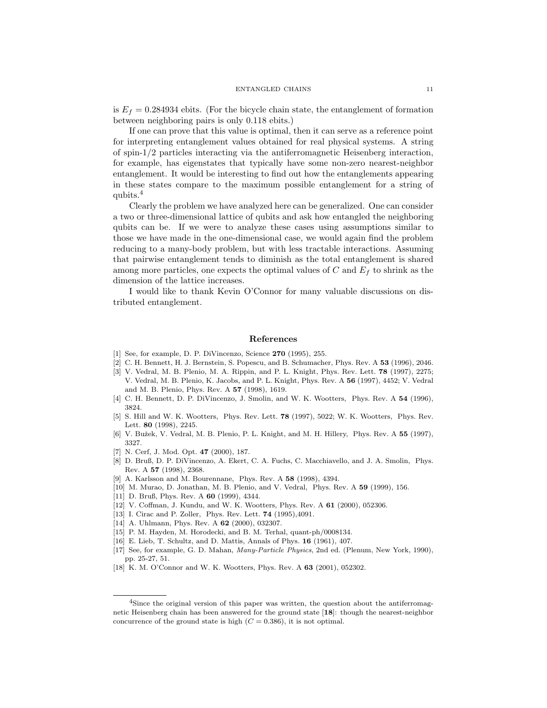is  $E_f = 0.284934$  ebits. (For the bicycle chain state, the entanglement of formation between neighboring pairs is only 0.118 ebits.)

If one can prove that this value is optimal, then it can serve as a reference point for interpreting entanglement values obtained for real physical systems. A string of spin-1/2 particles interacting via the antiferromagnetic Heisenberg interaction, for example, has eigenstates that typically have some non-zero nearest-neighbor entanglement. It would be interesting to find out how the entanglements appearing in these states compare to the maximum possible entanglement for a string of qubits.<sup>4</sup>

Clearly the problem we have analyzed here can be generalized. One can consider a two or three-dimensional lattice of qubits and ask how entangled the neighboring qubits can be. If we were to analyze these cases using assumptions similar to those we have made in the one-dimensional case, we would again find the problem reducing to a many-body problem, but with less tractable interactions. Assuming that pairwise entanglement tends to diminish as the total entanglement is shared among more particles, one expects the optimal values of  $C$  and  $E_f$  to shrink as the dimension of the lattice increases.

I would like to thank Kevin O'Connor for many valuable discussions on distributed entanglement.

### References

- [1] See, for example, D. P. DiVincenzo, Science **270** (1995), 255.
- [2] C. H. Bennett, H. J. Bernstein, S. Popescu, and B. Schumacher, Phys. Rev. A 53 (1996), 2046.
- [3] V. Vedral, M. B. Plenio, M. A. Rippin, and P. L. Knight, Phys. Rev. Lett. **78** (1997), 2275; V. Vedral, M. B. Plenio, K. Jacobs, and P. L. Knight, Phys. Rev. A 56 (1997), 4452; V. Vedral and M. B. Plenio, Phys. Rev. A 57 (1998), 1619.
- [4] C. H. Bennett, D. P. DiVincenzo, J. Smolin, and W. K. Wootters, Phys. Rev. A 54 (1996), 3824.
- [5] S. Hill and W. K. Wootters, Phys. Rev. Lett. 78 (1997), 5022; W. K. Wootters, Phys. Rev. Lett. 80 (1998), 2245.
- [6] V. Bužek, V. Vedral, M. B. Plenio, P. L. Knight, and M. H. Hillery, Phys. Rev. A 55 (1997), 3327.
- [7] N. Cerf, J. Mod. Opt. 47 (2000), 187.
- [8] D. Bruß, D. P. DiVincenzo, A. Ekert, C. A. Fuchs, C. Macchiavello, and J. A. Smolin, Phys. Rev. A 57 (1998), 2368.
- [9] A. Karlsson and M. Bourennane, Phys. Rev. A 58 (1998), 4394.
- [10] M. Murao, D. Jonathan, M. B. Plenio, and V. Vedral, Phys. Rev. A 59 (1999), 156.
- [11] D. Bruß, Phys. Rev. A **60** (1999), 4344.
- [12] V. Coffman, J. Kundu, and W. K. Wootters, Phys. Rev. A 61 (2000), 052306.
- [13] I. Cirac and P. Zoller, Phys. Rev. Lett. **74** (1995), 4091.
- [14] A. Uhlmann, Phys. Rev. A **62** (2000), 032307.
- [15] P. M. Hayden, M. Horodecki, and B. M. Terhal, quant-ph/0008134.
- [16] E. Lieb, T. Schultz, and D. Mattis, Annals of Phys. 16 (1961), 407.
- [17] See, for example, G. D. Mahan, Many-Particle Physics, 2nd ed. (Plenum, New York, 1990), pp. 25-27, 51.
- [18] K. M. O'Connor and W. K. Wootters, Phys. Rev. A 63 (2001), 052302.

<sup>&</sup>lt;sup>4</sup>Since the original version of this paper was written, the question about the antiferromagnetic Heisenberg chain has been answered for the ground state [18]: though the nearest-neighbor concurrence of the ground state is high  $(C = 0.386)$ , it is not optimal.